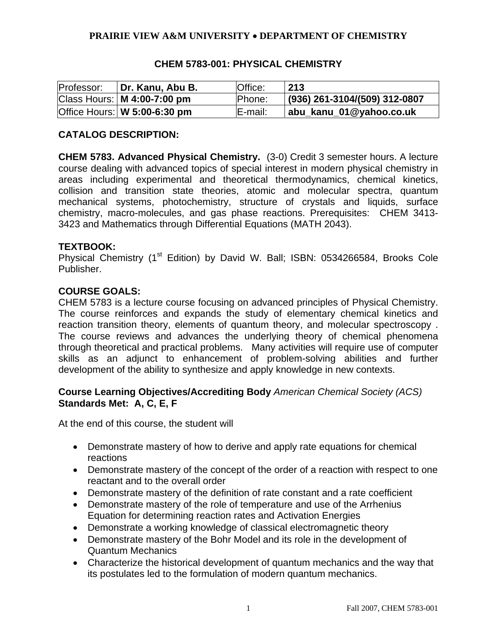## **PRAIRIE VIEW A&M UNIVERSITY** • **DEPARTMENT OF CHEMISTRY**

| Professor: | Dr. Kanu, Abu B.               | Office:       | 213                           |
|------------|--------------------------------|---------------|-------------------------------|
|            | Class Hours:   M 4:00-7:00 pm  | <b>Phone:</b> | (936) 261-3104/(509) 312-0807 |
|            | Office Hours:   W 5:00-6:30 pm | E-mail:       | abu_kanu_01@yahoo.co.uk       |

## **CHEM 5783-001: PHYSICAL CHEMISTRY**

### **CATALOG DESCRIPTION:**

**CHEM 5783. Advanced Physical Chemistry.** (3-0) Credit 3 semester hours. A lecture course dealing with advanced topics of special interest in modern physical chemistry in areas including experimental and theoretical thermodynamics, chemical kinetics, collision and transition state theories, atomic and molecular spectra, quantum mechanical systems, photochemistry, structure of crystals and liquids, surface chemistry, macro-molecules, and gas phase reactions. Prerequisites: CHEM 3413- 3423 and Mathematics through Differential Equations (MATH 2043).

#### **TEXTBOOK:**

Physical Chemistry (1<sup>st</sup> Edition) by David W. Ball; ISBN: 0534266584, Brooks Cole Publisher.

#### **COURSE GOALS:**

CHEM 5783 is a lecture course focusing on advanced principles of Physical Chemistry. The course reinforces and expands the study of elementary chemical kinetics and reaction transition theory, elements of quantum theory, and molecular spectroscopy . The course reviews and advances the underlying theory of chemical phenomena through theoretical and practical problems. Many activities will require use of computer skills as an adjunct to enhancement of problem-solving abilities and further development of the ability to synthesize and apply knowledge in new contexts.

### **Course Learning Objectives/Accrediting Body** *American Chemical Society (ACS)*  **Standards Met: A, C, E, F**

At the end of this course, the student will

- Demonstrate mastery of how to derive and apply rate equations for chemical reactions
- Demonstrate mastery of the concept of the order of a reaction with respect to one reactant and to the overall order
- Demonstrate mastery of the definition of rate constant and a rate coefficient
- Demonstrate mastery of the role of temperature and use of the Arrhenius Equation for determining reaction rates and Activation Energies
- Demonstrate a working knowledge of classical electromagnetic theory
- Demonstrate mastery of the Bohr Model and its role in the development of Quantum Mechanics
- Characterize the historical development of quantum mechanics and the way that its postulates led to the formulation of modern quantum mechanics.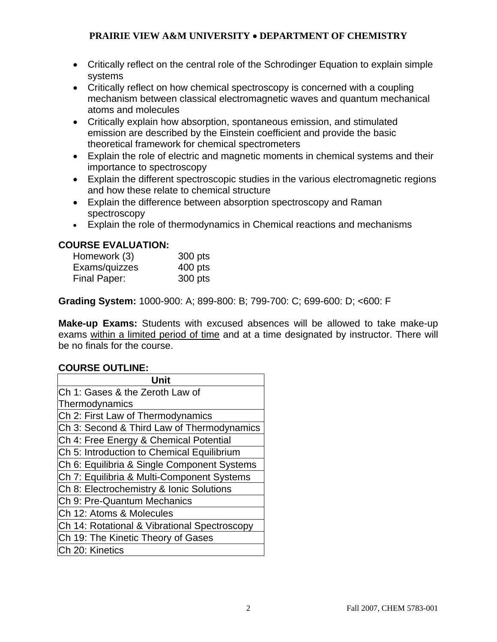# **PRAIRIE VIEW A&M UNIVERSITY** • **DEPARTMENT OF CHEMISTRY**

- Critically reflect on the central role of the Schrodinger Equation to explain simple systems
- Critically reflect on how chemical spectroscopy is concerned with a coupling mechanism between classical electromagnetic waves and quantum mechanical atoms and molecules
- Critically explain how absorption, spontaneous emission, and stimulated emission are described by the Einstein coefficient and provide the basic theoretical framework for chemical spectrometers
- Explain the role of electric and magnetic moments in chemical systems and their importance to spectroscopy
- Explain the different spectroscopic studies in the various electromagnetic regions and how these relate to chemical structure
- Explain the difference between absorption spectroscopy and Raman spectroscopy
- Explain the role of thermodynamics in Chemical reactions and mechanisms

# **COURSE EVALUATION:**

| Homework (3)  | 300 pts   |
|---------------|-----------|
| Exams/quizzes | $400$ pts |
| Final Paper:  | 300 pts   |

**Grading System:** 1000-900: A; 899-800: B; 799-700: C; 699-600: D; <600: F

**Make-up Exams:** Students with excused absences will be allowed to take make-up exams within a limited period of time and at a time designated by instructor. There will be no finals for the course.

# **COURSE OUTLINE:**

| Unit                                         |  |  |  |
|----------------------------------------------|--|--|--|
| lCh 1: Gases & the Zeroth Law of             |  |  |  |
| Thermodynamics                               |  |  |  |
| Ch 2: First Law of Thermodynamics            |  |  |  |
| Ch 3: Second & Third Law of Thermodynamics   |  |  |  |
| Ch 4: Free Energy & Chemical Potential       |  |  |  |
| Ch 5: Introduction to Chemical Equilibrium   |  |  |  |
| Ch 6: Equilibria & Single Component Systems  |  |  |  |
| Ch 7: Equilibria & Multi-Component Systems   |  |  |  |
| Ch 8: Electrochemistry & Ionic Solutions     |  |  |  |
| Ch 9: Pre-Quantum Mechanics                  |  |  |  |
| Ch 12: Atoms & Molecules                     |  |  |  |
| Ch 14: Rotational & Vibrational Spectroscopy |  |  |  |
| Ch 19: The Kinetic Theory of Gases           |  |  |  |
| Ch 20: Kinetics                              |  |  |  |